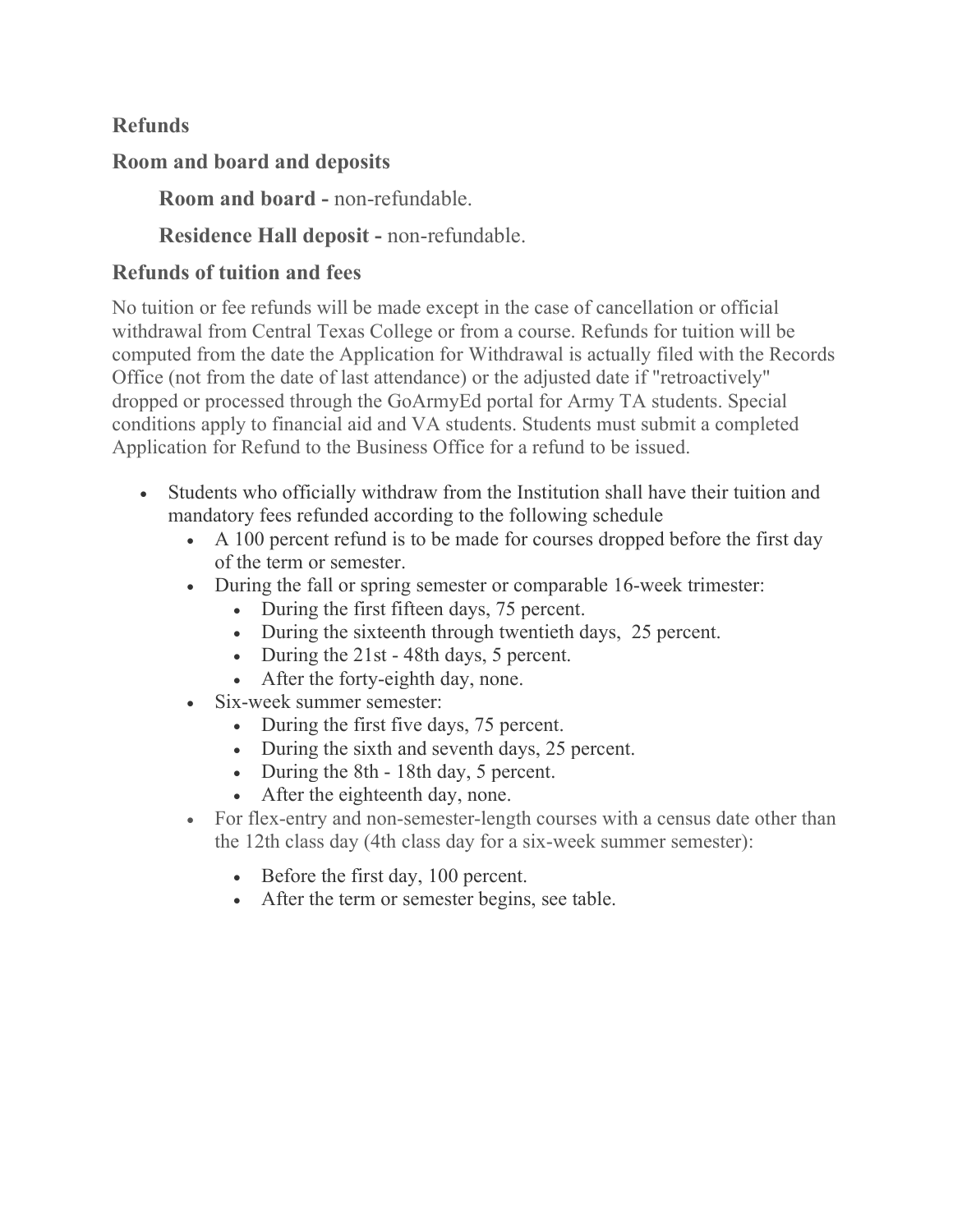# Refunds

#### Room and board and deposits

Room and board - non-refundable.

# Residence Hall deposit - non-refundable.

### Refunds of tuition and fees

No tuition or fee refunds will be made except in the case of cancellation or official withdrawal from Central Texas College or from a course. Refunds for tuition will be computed from the date the Application for Withdrawal is actually filed with the Records Office (not from the date of last attendance) or the adjusted date if "retroactively" dropped or processed through the GoArmyEd portal for Army TA students. Special conditions apply to financial aid and VA students. Students must submit a completed Application for Refund to the Business Office for a refund to be issued.

- Students who officially withdraw from the Institution shall have their tuition and mandatory fees refunded according to the following schedule
	- A 100 percent refund is to be made for courses dropped before the first day of the term or semester.
	- During the fall or spring semester or comparable 16-week trimester:
		- During the first fifteen days, 75 percent.
		- During the sixteenth through twentieth days, 25 percent.
		- During the 21st 48th days, 5 percent.
		- After the forty-eighth day, none.
	- Six-week summer semester:
		- During the first five days, 75 percent.
		- During the sixth and seventh days, 25 percent.
		- During the 8th 18th day, 5 percent.
		- After the eighteenth day, none.
	- For flex-entry and non-semester-length courses with a census date other than the 12th class day (4th class day for a six-week summer semester):
		- Before the first day, 100 percent.
		- After the term or semester begins, see table.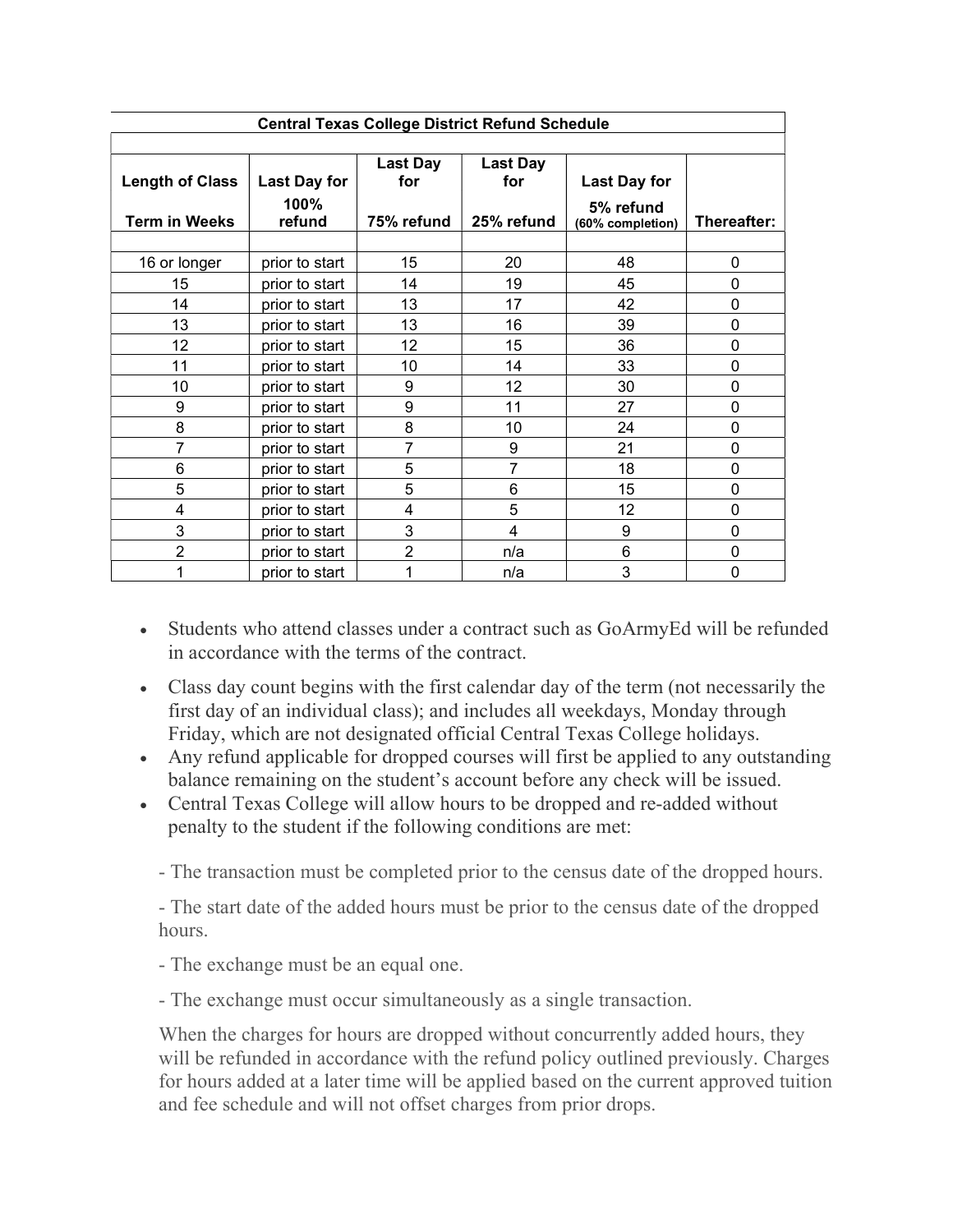| <b>Central Texas College District Refund Schedule</b> |                     |                 |                 |                  |             |
|-------------------------------------------------------|---------------------|-----------------|-----------------|------------------|-------------|
|                                                       |                     |                 |                 |                  |             |
|                                                       |                     | <b>Last Day</b> | <b>Last Day</b> |                  |             |
| <b>Length of Class</b>                                | <b>Last Day for</b> | for             | for             | Last Day for     |             |
|                                                       | 100%                |                 |                 | 5% refund        |             |
| <b>Term in Weeks</b>                                  | refund              | 75% refund      | 25% refund      | (60% completion) | Thereafter: |
|                                                       |                     |                 |                 |                  |             |
| 16 or longer                                          | prior to start      | 15              | 20              | 48               | 0           |
| 15                                                    | prior to start      | 14              | 19              | 45               | 0           |
| 14                                                    | prior to start      | 13              | 17              | 42               | 0           |
| 13                                                    | prior to start      | 13              | 16              | 39               | 0           |
| 12                                                    | prior to start      | 12              | 15              | 36               | 0           |
| 11                                                    | prior to start      | 10              | 14              | 33               | 0           |
| 10                                                    | prior to start      | 9               | 12              | 30               | 0           |
| 9                                                     | prior to start      | 9               | 11              | 27               | 0           |
| 8                                                     | prior to start      | 8               | 10              | 24               | 0           |
| 7                                                     | prior to start      | 7               | 9               | 21               | 0           |
| 6                                                     | prior to start      | 5               | $\overline{7}$  | 18               | 0           |
| 5                                                     | prior to start      | 5               | 6               | 15               | 0           |
| 4                                                     | prior to start      | 4               | 5               | 12               | 0           |
| 3                                                     | prior to start      | 3               | 4               | 9                | 0           |
| $\overline{2}$                                        | prior to start      | $\overline{2}$  | n/a             | 6                | 0           |
|                                                       | prior to start      | 1               | n/a             | 3                | 0           |

- Students who attend classes under a contract such as GoArmyEd will be refunded in accordance with the terms of the contract.
- Class day count begins with the first calendar day of the term (not necessarily the first day of an individual class); and includes all weekdays, Monday through Friday, which are not designated official Central Texas College holidays.
- Any refund applicable for dropped courses will first be applied to any outstanding balance remaining on the student's account before any check will be issued.
- Central Texas College will allow hours to be dropped and re-added without penalty to the student if the following conditions are met:

- The transaction must be completed prior to the census date of the dropped hours.

- The start date of the added hours must be prior to the census date of the dropped hours.

- The exchange must be an equal one.

- The exchange must occur simultaneously as a single transaction.

When the charges for hours are dropped without concurrently added hours, they will be refunded in accordance with the refund policy outlined previously. Charges for hours added at a later time will be applied based on the current approved tuition and fee schedule and will not offset charges from prior drops.